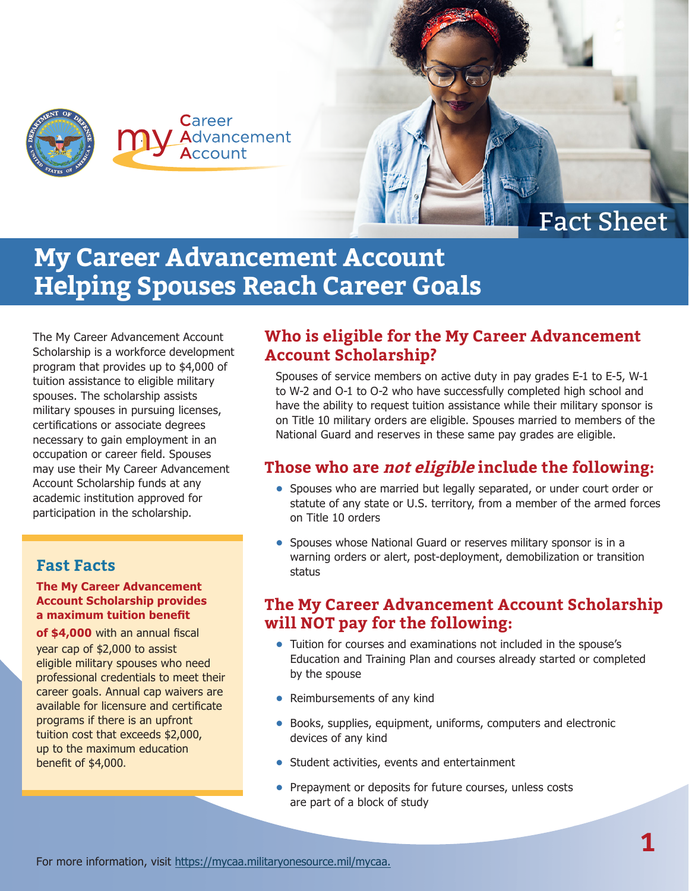



# **My Career Advancement Account Helping Spouses Reach Career Goals**

The My Career Advancement Account Scholarship is a workforce development program that provides up to \$4,000 of tuition assistance to eligible military spouses. The scholarship assists military spouses in pursuing licenses, certifications or associate degrees necessary to gain employment in an occupation or career field. Spouses may use their My Career Advancement Account Scholarship funds at any academic institution approved for participation in the scholarship.

### **Fast Facts**

#### **The My Career Advancement Account Scholarship provides a maximum tuition benefit**

**of \$4,000** with an annual fiscal year cap of \$2,000 to assist eligible military spouses who need professional credentials to meet their career goals. Annual cap waivers are available for licensure and certificate programs if there is an upfront tuition cost that exceeds \$2,000, up to the maximum education benefit of \$4,000.

### **Who is eligible for the My Career Advancement Account Scholarship?**

Spouses of service members on active duty in pay grades E-1 to E-5, W-1 to W-2 and O-1 to O-2 who have successfully completed high school and have the ability to request tuition assistance while their military sponsor is on Title 10 military orders are eligible. Spouses married to members of the National Guard and reserves in these same pay grades are eligible.

### **Those who are not eligible include the following:**

- **•** Spouses who are married but legally separated, or under court order or statute of any state or U.S. territory, from a member of the armed forces on Title 10 orders
- **•** Spouses whose National Guard or reserves military sponsor is in a warning orders or alert, post-deployment, demobilization or transition status

### **The My Career Advancement Account Scholarship will NOT pay for the following:**

- **•** Tuition for courses and examinations not included in the spouse's Education and Training Plan and courses already started or completed by the spouse
- **•** Reimbursements of any kind
- **•** Books, supplies, equipment, uniforms, computers and electronic devices of any kind
- **•** Student activities, events and entertainment
- **•** Prepayment or deposits for future courses, unless costs are part of a block of study